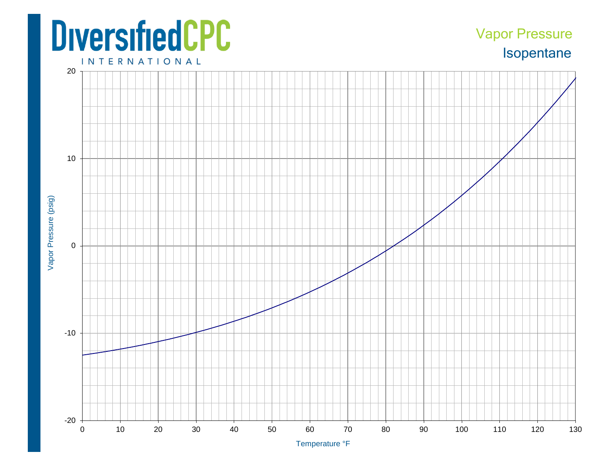## **DiversifiedCPC**

## Isopentane Vapor Pressure

**INTERNATIONAL**